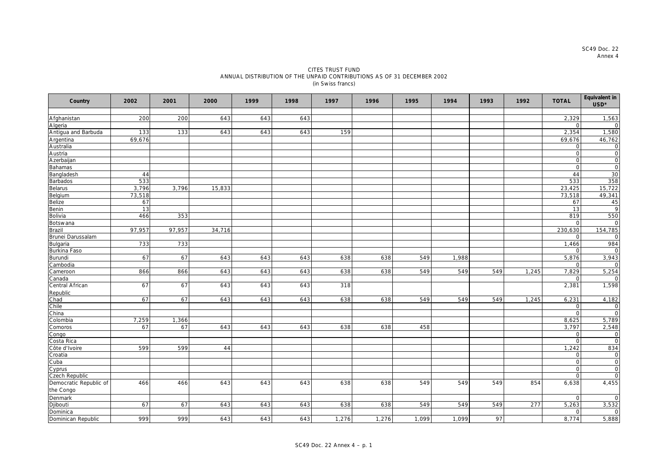SC49 Doc. 22 Annex 4

## CITES TRUST FUND ANNUAL DISTRIBUTION OF THE UNPAID CONTRIBUTIONS AS OF 31 DECEMBER 2002 (in Swiss francs)

| Country                  | 2002   | 2001   | 2000   | 1999 | 1998 | 1997  | 1996  | 1995  | 1994  | 1993 | 1992  | <b>TOTAL</b> | Equivalent in<br>USD* |
|--------------------------|--------|--------|--------|------|------|-------|-------|-------|-------|------|-------|--------------|-----------------------|
|                          |        |        |        |      |      |       |       |       |       |      |       |              |                       |
| Afghanistan              | 200    | 200    | 643    | 643  | 643  |       |       |       |       |      |       | 2,329        | 1,563                 |
| Algeria                  |        |        |        |      |      |       |       |       |       |      |       | $\Omega$     |                       |
| Antigua and Barbuda      | 133    | 133    | 643    | 643  | 643  | 159   |       |       |       |      |       | 2,354        | 1,580                 |
| Argentina                | 69,676 |        |        |      |      |       |       |       |       |      |       | 69,676       | 46,762                |
| Australia                |        |        |        |      |      |       |       |       |       |      |       | $\Omega$     | $\Omega$              |
| Austria                  |        |        |        |      |      |       |       |       |       |      |       | $\mathbf{O}$ | $\circ$               |
| Azerbaijan               |        |        |        |      |      |       |       |       |       |      |       | $\Omega$     | $\mathbf 0$           |
| <b>Bahamas</b>           |        |        |        |      |      |       |       |       |       |      |       | $\Omega$     | $\mathbf 0$           |
| Bangladesh               | 44     |        |        |      |      |       |       |       |       |      |       | 44           | 30                    |
| Barbados                 | 533    |        |        |      |      |       |       |       |       |      |       | 533          | 358                   |
| Belarus                  | 3,796  | 3,796  | 15,833 |      |      |       |       |       |       |      |       | 23,425       | 15,722                |
| Belgium                  | 73,518 |        |        |      |      |       |       |       |       |      |       | 73,518       | 49,341                |
| Belize                   | 67     |        |        |      |      |       |       |       |       |      |       | 67           | 45                    |
| Benin                    | 13     |        |        |      |      |       |       |       |       |      |       | 13           | $\mathsf{Q}$          |
| Bolivia                  | 466    | 353    |        |      |      |       |       |       |       |      |       | 819          | 550                   |
| Botswana                 |        |        |        |      |      |       |       |       |       |      |       | $\Omega$     |                       |
| <b>Brazil</b>            | 97,957 | 97,957 | 34,716 |      |      |       |       |       |       |      |       | 230,630      | 154,785               |
| Brunei Darussalam        |        |        |        |      |      |       |       |       |       |      |       | $\Omega$     | $\cap$                |
| Bulgaria<br>Burkina Faso | 733    | 733    |        |      |      |       |       |       |       |      |       | 1,466        | 984                   |
|                          |        |        |        |      |      |       |       |       |       |      |       | $\Omega$     | $\cap$                |
| Burundi                  | 67     | 67     | 643    | 643  | 643  | 638   | 638   | 549   | 1,988 |      |       | 5,876        | 3,943                 |
| Cambodia                 |        |        |        |      |      |       |       |       |       |      |       | $\Omega$     |                       |
| Cameroon                 | 866    | 866    | 643    | 643  | 643  | 638   | 638   | 549   | 549   | 549  | 1,245 | 7,829        | 5,254                 |
| Canada                   |        |        |        |      |      |       |       |       |       |      |       | $\Omega$     |                       |
| Central African          | 67     | 67     | 643    | 643  | 643  | 318   |       |       |       |      |       | 2,381        | 1,598                 |
| Republic                 |        |        |        |      |      |       |       |       |       |      |       |              |                       |
| Chad                     | 67     | 67     | 643    | 643  | 643  | 638   | 638   | 549   | 549   | 549  | 1,245 | 6,231        | 4,182                 |
| Chile                    |        |        |        |      |      |       |       |       |       |      |       | $\mathbf 0$  | $\circ$               |
| China                    |        |        |        |      |      |       |       |       |       |      |       | $\Omega$     | $\Omega$              |
| Colombia                 | 7,259  | 1,366  |        |      |      |       |       |       |       |      |       | 8,625        | 5,789                 |
| Comoros                  | 67     | 67     | 643    | 643  | 643  | 638   | 638   | 458   |       |      |       | 3,797        | 2,548                 |
| Congo                    |        |        |        |      |      |       |       |       |       |      |       | $\mathbf{O}$ | $\circ$               |
| Costa Rica               |        |        |        |      |      |       |       |       |       |      |       | $\mathbf 0$  | $\Omega$              |
| Côte d'Ivoire            | 599    | 599    | 44     |      |      |       |       |       |       |      |       | 1,242        | 834                   |
| Croatia                  |        |        |        |      |      |       |       |       |       |      |       | $\Omega$     | $\circ$               |
| Cuba                     |        |        |        |      |      |       |       |       |       |      |       | $\Omega$     | $\Omega$              |
| Cyprus                   |        |        |        |      |      |       |       |       |       |      |       | $\mathbf 0$  | $\Omega$              |
| Czech Republic           |        |        |        |      |      |       |       |       |       |      |       | $\Omega$     | $\Omega$              |
| Democratic Republic of   | 466    | 466    | 643    | 643  | 643  | 638   | 638   | 549   | 549   | 549  | 854   | 6,638        | 4,455                 |
| the Congo                |        |        |        |      |      |       |       |       |       |      |       |              |                       |
| Denmark                  |        |        |        |      |      |       |       |       |       |      |       | $\Omega$     | $\Omega$              |
| Djibouti                 | 67     | 67     | 643    | 643  | 643  | 638   | 638   | 549   | 549   | 549  | 277   | 5,263        | 3,532                 |
| Dominica                 |        |        |        |      |      |       |       |       |       |      |       | $\Omega$     | $\circ$               |
| Dominican Republic       | 999    | 999    | 643    | 643  | 643  | 1,276 | 1,276 | 1,099 | 1,099 | 97   |       | 8,774        | 5,888                 |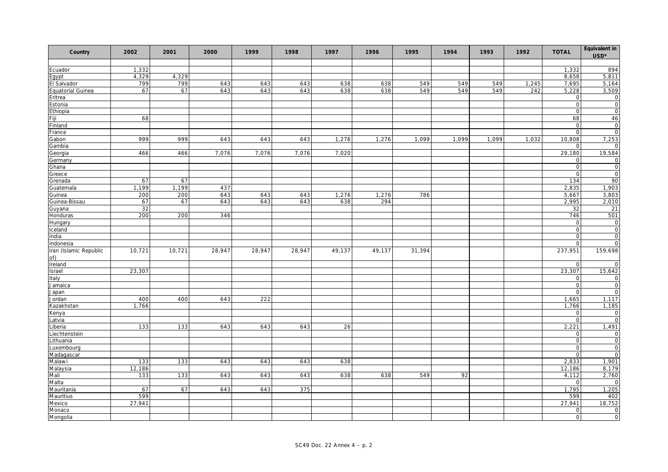| Country                  | 2002   | 2001         | 2000   | 1999   | 1998   | 1997   | 1996   | 1995   | 1994  | 1993  | 1992  | <b>TOTAL</b>         | Equivalent in<br>$\ensuremath{\mathsf{USD}}^\star$ |
|--------------------------|--------|--------------|--------|--------|--------|--------|--------|--------|-------|-------|-------|----------------------|----------------------------------------------------|
|                          |        |              |        |        |        |        |        |        |       |       |       |                      |                                                    |
| Ecuador                  | 1,332  |              |        |        |        |        |        |        |       |       |       | 1,332                | 894<br>5,811                                       |
| Egypt                    | 4,329  | 4,329<br>799 |        |        |        |        |        |        |       |       |       | 8,658                |                                                    |
| El Salvador              | 799    |              | 643    | 643    | 643    | 638    | 638    | 549    | 549   | 549   | 1,245 | 7,695                | 5,164                                              |
| <b>Equatorial Guinea</b> | 67     | 67           | 643    | 643    | 643    | 638    | 638    | 549    | 549   | 549   | 242   | 5,228<br>$\mathbf 0$ | 3,509                                              |
| Eritrea                  |        |              |        |        |        |        |        |        |       |       |       | $\circ$              | $\mathbf 0$<br>$\circ$                             |
| Estonia                  |        |              |        |        |        |        |        |        |       |       |       | $\Omega$             | $\Omega$                                           |
| Ethiopia                 |        |              |        |        |        |        |        |        |       |       |       |                      |                                                    |
| Fiji                     | 68     |              |        |        |        |        |        |        |       |       |       | 68<br>$\mathbf 0$    | 46                                                 |
| Finland                  |        |              |        |        |        |        |        |        |       |       |       |                      | $\overline{0}$                                     |
| France                   |        |              |        |        |        |        |        |        |       |       |       | $\mathbf 0$          | $\circ$                                            |
| Gabon                    | 999    | 999          | 643    | 643    | 643    | 1,276  | 1,276  | 1,099  | 1,099 | 1,099 | 1,032 | 10,808               | 7,253                                              |
| Gambia                   |        |              |        |        |        |        |        |        |       |       |       | ∩                    |                                                    |
| Georgia                  | 466    | 466          | 7,076  | 7,076  | 7,076  | 7,020  |        |        |       |       |       | 29,180               | 19,584                                             |
| Germany                  |        |              |        |        |        |        |        |        |       |       |       | $\mathbf 0$          | $\circ$                                            |
| Ghana                    |        |              |        |        |        |        |        |        |       |       |       | $\mathbf 0$          | $\circ$                                            |
| Greece                   |        |              |        |        |        |        |        |        |       |       |       | $\Omega$             | $\overline{0}$                                     |
| Grenada                  | 67     | 67           |        |        |        |        |        |        |       |       |       | 134                  | 90                                                 |
| Guatemala                | 1,199  | 1,199        | 437    |        |        |        |        |        |       |       |       | 2,835                | 1,903                                              |
| Guinea                   | 200    | 200          | 643    | 643    | 643    | 1,276  | 1,276  | 786    |       |       |       | 5,667                | 3,803                                              |
| Guinea-Bissau            | 67     | 67           | 643    | 643    | 643    | 638    | 294    |        |       |       |       | 2,995                | 2,010                                              |
| Guyana                   | 32     |              |        |        |        |        |        |        |       |       |       | 32                   | 21                                                 |
| Honduras                 | 200    | 200          | 346    |        |        |        |        |        |       |       |       | 746                  | 501                                                |
| Hungary                  |        |              |        |        |        |        |        |        |       |       |       | $\mathbf 0$          | $\circ$                                            |
| Iceland                  |        |              |        |        |        |        |        |        |       |       |       | $\circ$              | $\circ$                                            |
| India                    |        |              |        |        |        |        |        |        |       |       |       | $\mathbf 0$          | $\overline{0}$                                     |
| Indonesia                |        |              |        |        |        |        |        |        |       |       |       | $\mathbf 0$          | $\mathbf 0$                                        |
| Iran (Islamic Republic   | 10,721 | 10,721       | 28,947 | 28,947 | 28,947 | 49,137 | 49,137 | 31,394 |       |       |       | 237,951              | 159,698                                            |
| of)                      |        |              |        |        |        |        |        |        |       |       |       |                      |                                                    |
| Ireland                  |        |              |        |        |        |        |        |        |       |       |       | $\Omega$             | $\cap$                                             |
| Israel                   | 23,307 |              |        |        |        |        |        |        |       |       |       | 23,307               | 15,642                                             |
| Italy                    |        |              |        |        |        |        |        |        |       |       |       | $\mathsf O$          | $\circ$                                            |
| Jamaica                  |        |              |        |        |        |        |        |        |       |       |       | $\circ$              | $\overline{0}$                                     |
| Japan                    |        |              |        |        |        |        |        |        |       |       |       | $\Omega$             | $\Omega$                                           |
| Jordan                   | 400    | 400          | 643    | 222    |        |        |        |        |       |       |       | 1,665                | 1,117                                              |
| Kazakhstan               | 1,766  |              |        |        |        |        |        |        |       |       |       | 1,766                | 1,185                                              |
| Kenya                    |        |              |        |        |        |        |        |        |       |       |       | $\mathbf 0$          | $\circ$                                            |
| Latvia                   |        |              |        |        |        |        |        |        |       |       |       | $\circ$              | $\circ$                                            |
| Liberia                  | 133    | 133          | 643    | 643    | 643    | 26     |        |        |       |       |       | 2,221                | 1,491                                              |
| Liechtenstein            |        |              |        |        |        |        |        |        |       |       |       | $\mathbf 0$          | $\circ$                                            |
| Lithuania                |        |              |        |        |        |        |        |        |       |       |       | $\circ$              | $\circ$                                            |
| Luxembourg               |        |              |        |        |        |        |        |        |       |       |       | $\mathbf 0$          | $\circ$                                            |
| Madagascar               |        |              |        |        |        |        |        |        |       |       |       | $\mathbf 0$          | $\Omega$                                           |
| Malawi                   | 133    | 133          | 643    | 643    | 643    | 638    |        |        |       |       |       | 2,833                | 1,901                                              |
| Malaysia                 | 12,186 |              |        |        |        |        |        |        |       |       |       | 12,186               | 8,179                                              |
| Mali                     | 133    | 133          | 643    | 643    | 643    | 638    | 638    | 549    | 92    |       |       | 4,112                | 2,760                                              |
| Malta                    |        |              |        |        |        |        |        |        |       |       |       | $\Omega$             |                                                    |
| Mauritania               | 67     | 67           | 643    | 643    | 375    |        |        |        |       |       |       | 1,795                | 1,205                                              |
| Mauritius                | 599    |              |        |        |        |        |        |        |       |       |       | 599                  | 402                                                |
| Mexico                   | 27,941 |              |        |        |        |        |        |        |       |       |       | 27,941               | 18,752                                             |
| Monaco                   |        |              |        |        |        |        |        |        |       |       |       | $\mathbf 0$          | $\circ$                                            |
| Mongolia                 |        |              |        |        |        |        |        |        |       |       |       | $\mathbf{O}$         | $\circ$                                            |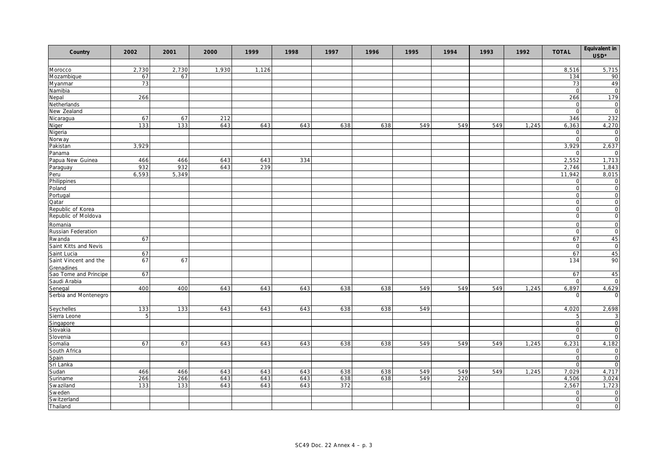| Country               | 2002  | 2001  | 2000  | 1999  | 1998 | 1997 | 1996 | 1995 | 1994 | 1993 | 1992  | <b>TOTAL</b>   | Equivalent in<br>$\ensuremath{\mathsf{USD}}^\star$ |
|-----------------------|-------|-------|-------|-------|------|------|------|------|------|------|-------|----------------|----------------------------------------------------|
| Morocco               | 2,730 | 2,730 | 1,930 | 1,126 |      |      |      |      |      |      |       | 8,516          | 5,715                                              |
| Mozambique            | 67    | 67    |       |       |      |      |      |      |      |      |       | 134            | 90                                                 |
| Myanmar               | 73    |       |       |       |      |      |      |      |      |      |       | 73             | 49                                                 |
| Namibia               |       |       |       |       |      |      |      |      |      |      |       | $\mathbf 0$    | $\overline{0}$                                     |
| Nepal                 | 266   |       |       |       |      |      |      |      |      |      |       | 266            | 179                                                |
| Netherlands           |       |       |       |       |      |      |      |      |      |      |       | $\mathbf 0$    | $\circ$                                            |
| New Zealand           |       |       |       |       |      |      |      |      |      |      |       | $\Omega$       | $\Omega$                                           |
| Nicaragua             | 67    | 67    | 212   |       |      |      |      |      |      |      |       | 346            | 232                                                |
| Niger                 | 133   | 133   | 643   | 643   | 643  | 638  | 638  | 549  | 549  | 549  | 1,245 | 6,363          | 4,270                                              |
| Nigeria               |       |       |       |       |      |      |      |      |      |      |       | $\mathbf 0$    | $\circ$                                            |
| Norway                |       |       |       |       |      |      |      |      |      |      |       | $\Omega$       | $\mathbf 0$                                        |
| Pakistan              | 3,929 |       |       |       |      |      |      |      |      |      |       | 3,929          | 2,637                                              |
| Panama                |       |       |       |       |      |      |      |      |      |      |       | $\Omega$       | $\cap$                                             |
| Papua New Guinea      | 466   | 466   | 643   | 643   | 334  |      |      |      |      |      |       | 2,552          | 1,713                                              |
| Paraguay              | 932   | 932   | 643   | 239   |      |      |      |      |      |      |       | 2,746          | 1,843                                              |
| Peru                  | 6,593 | 5,349 |       |       |      |      |      |      |      |      |       | 11,942         | 8,015                                              |
| Philippines           |       |       |       |       |      |      |      |      |      |      |       | $\mathbf 0$    | $\overline{0}$                                     |
| Poland                |       |       |       |       |      |      |      |      |      |      |       | $\mathbf 0$    | $\circ$                                            |
| Portugal              |       |       |       |       |      |      |      |      |      |      |       | $\mathbf 0$    | $\mathbf 0$                                        |
| Qatar                 |       |       |       |       |      |      |      |      |      |      |       | $\mathbf 0$    | $\circ$                                            |
| Republic of Korea     |       |       |       |       |      |      |      |      |      |      |       | $\mathbf 0$    | $\mathbf 0$                                        |
| Republic of Moldova   |       |       |       |       |      |      |      |      |      |      |       | $\mathbf 0$    | $\mathbf 0$                                        |
| Romania               |       |       |       |       |      |      |      |      |      |      |       | $\mathbf 0$    | $\mathbf 0$                                        |
| Russian Federation    |       |       |       |       |      |      |      |      |      |      |       | $\mathbf 0$    | $\mathbf 0$                                        |
| Rwanda                | 67    |       |       |       |      |      |      |      |      |      |       | 67             | 45                                                 |
| Saint Kitts and Nevis |       |       |       |       |      |      |      |      |      |      |       | $\mathbf 0$    | $\overline{0}$                                     |
| Saint Lucia           | 67    |       |       |       |      |      |      |      |      |      |       | 67             | 45                                                 |
| Saint Vincent and the | 67    | 67    |       |       |      |      |      |      |      |      |       | 134            | 90                                                 |
| Grenadines            |       |       |       |       |      |      |      |      |      |      |       |                |                                                    |
| Sao Tome and Principe | 67    |       |       |       |      |      |      |      |      |      |       | 67             | 45                                                 |
| Saudi Arabia          |       |       |       |       |      |      |      |      |      |      |       | $\mathbf 0$    | $\overline{0}$                                     |
| Senegal               | 400   | 400   | 643   | 643   | 643  | 638  | 638  | 549  | 549  | 549  | 1,245 | 6,897          | 4,629                                              |
| Serbia and Montenegro |       |       |       |       |      |      |      |      |      |      |       | ∩              | $\Omega$                                           |
| Seychelles            | 133   | 133   | 643   | 643   | 643  | 638  | 638  | 549  |      |      |       | 4,020          | 2,698                                              |
| Sierra Leone          | 5     |       |       |       |      |      |      |      |      |      |       | 5              | 3                                                  |
| Singapore             |       |       |       |       |      |      |      |      |      |      |       | $\Omega$       | $\Omega$                                           |
| Slovakia              |       |       |       |       |      |      |      |      |      |      |       | $\mathbf 0$    | $\overline{0}$                                     |
| Slovenia              |       |       |       |       |      |      |      |      |      |      |       | $\Omega$       | $\Omega$                                           |
| Somalia               | 67    | 67    | 643   | 643   | 643  | 638  | 638  | 549  | 549  | 549  | 1,245 | 6,231          | 4,182                                              |
| South Africa          |       |       |       |       |      |      |      |      |      |      |       | $\mathbf 0$    | $\circ$                                            |
| Spain                 |       |       |       |       |      |      |      |      |      |      |       | $\Omega$       | $\Omega$                                           |
| Sri Lanka             |       |       |       |       |      |      |      |      |      |      |       | $\overline{O}$ | $\circ$                                            |
| Sudan                 | 466   | 466   | 643   | 643   | 643  | 638  | 638  | 549  | 549  | 549  | 1,245 | 7,029          | 4.717                                              |
| Suriname              | 266   | 266   | 643   | 643   | 643  | 638  | 638  | 549  | 220  |      |       | 4,506          | 3,024                                              |
| Swaziland             | 133   | 133   | 643   | 643   | 643  | 372  |      |      |      |      |       | 2,567          | 1,723                                              |
| Sweden                |       |       |       |       |      |      |      |      |      |      |       | $\mathbf 0$    | $\circ$                                            |
| Switzerland           |       |       |       |       |      |      |      |      |      |      |       | $\mathbf 0$    | $\mathbf 0$                                        |
| Thailand              |       |       |       |       |      |      |      |      |      |      |       | $\Omega$       | $\mathbf 0$                                        |